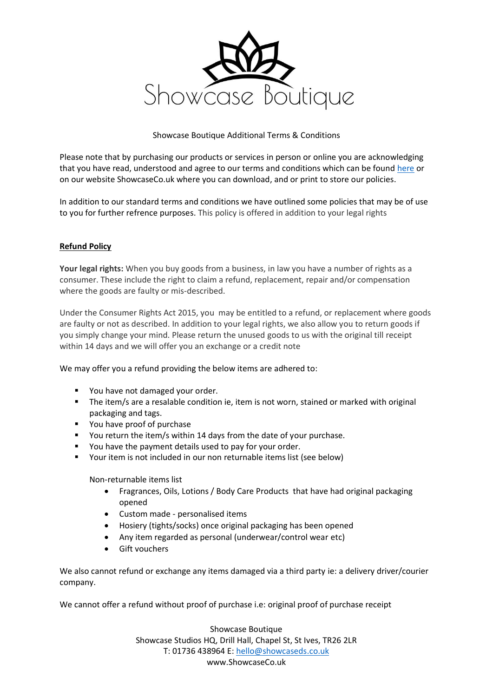

## Showcase Boutique Additional Terms & Conditions

Please note that by purchasing our products or services in person or online you are acknowledging that you have read, understood and agree to our terms and conditions which can be found [here](http://www.showcaseco.uk/downloads) or on our website ShowcaseCo.uk where you can download, and or print to store our policies.

In addition to our standard terms and conditions we have outlined some policies that may be of use to you for further refrence purposes. This policy is offered in addition to your legal rights

## **Refund Policy**

**Your legal rights:** When you buy goods from a business, in law you have a number of rights as a consumer. These include the right to claim a refund, replacement, repair and/or compensation where the goods are faulty or mis-described.

Under the Consumer Rights Act 2015, you may be entitled to a refund, or replacement where goods are faulty or not as described. In addition to your legal rights, we also allow you to return goods if you simply change your mind. Please return the unused goods to us with the original till receipt within 14 days and we will offer you an exchange or a credit note

We may offer you a refund providing the below items are adhered to:

- You have not damaged your order.
- The item/s are a resalable condition ie, item is not worn, stained or marked with original packaging and tags.
- You have proof of purchase
- You return the item/s within 14 days from the date of your purchase.
- You have the payment details used to pay for your order.
- Your item is not included in our non returnable items list (see below)

Non-returnable items list

- Fragrances, Oils, Lotions / Body Care Products that have had original packaging opened
- Custom made personalised items
- Hosiery (tights/socks) once original packaging has been opened
- Any item regarded as personal (underwear/control wear etc)
- Gift vouchers

We also cannot refund or exchange any items damaged via a third party ie: a delivery driver/courier company.

We cannot offer a refund without proof of purchase i.e: original proof of purchase receipt

Showcase Boutique Showcase Studios HQ, Drill Hall, Chapel St, St Ives, TR26 2LR T: 01736 438964 E: [hello@showcaseds.co.uk](mailto:hello@showcaseds.co.uk) www.ShowcaseCo.uk